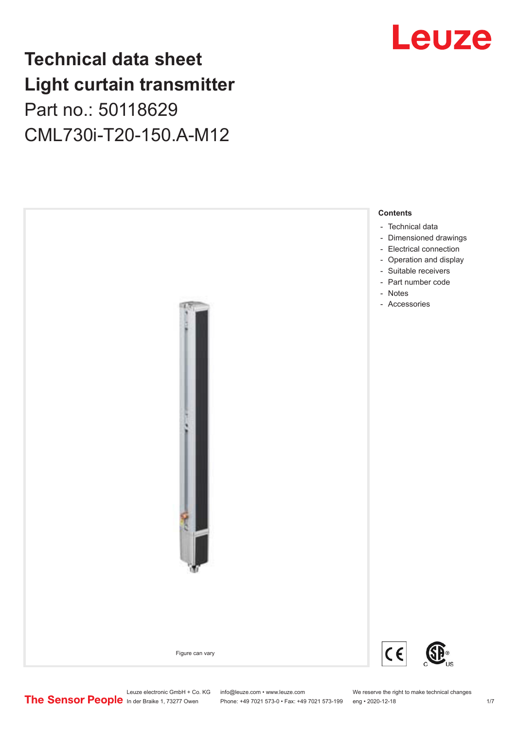# **Technical data sheet Light curtain transmitter** Part no.: 50118629 CML730i-T20-150.A-M12



# Leuze

Leuze electronic GmbH + Co. KG info@leuze.com • www.leuze.com We reserve the right to make technical changes<br>
The Sensor People in der Braike 1, 73277 Owen Phone: +49 7021 573-0 • Fax: +49 7021 573-199 eng • 2020-12-18

Phone: +49 7021 573-0 • Fax: +49 7021 573-199 eng • 2020-12-18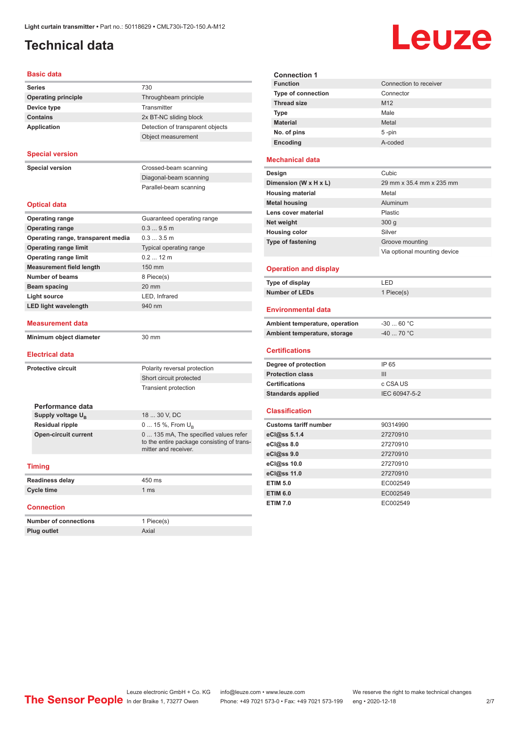## <span id="page-1-0"></span>**Technical data**

# Leuze

| <b>Basic data</b>                    |                                                                                                             |  |  |  |  |
|--------------------------------------|-------------------------------------------------------------------------------------------------------------|--|--|--|--|
| <b>Series</b>                        | 730                                                                                                         |  |  |  |  |
| <b>Operating principle</b>           | Throughbeam principle                                                                                       |  |  |  |  |
| Device type<br>Transmitter           |                                                                                                             |  |  |  |  |
| <b>Contains</b>                      | 2x BT-NC sliding block                                                                                      |  |  |  |  |
| <b>Application</b>                   | Detection of transparent objects                                                                            |  |  |  |  |
|                                      | Object measurement                                                                                          |  |  |  |  |
| <b>Special version</b>               |                                                                                                             |  |  |  |  |
| <b>Special version</b>               | Crossed-beam scanning                                                                                       |  |  |  |  |
|                                      | Diagonal-beam scanning                                                                                      |  |  |  |  |
|                                      | Parallel-beam scanning                                                                                      |  |  |  |  |
| <b>Optical data</b>                  |                                                                                                             |  |  |  |  |
| <b>Operating range</b>               | Guaranteed operating range                                                                                  |  |  |  |  |
| <b>Operating range</b>               | 0.39.5m                                                                                                     |  |  |  |  |
| Operating range, transparent media   | 0.33.5m                                                                                                     |  |  |  |  |
| <b>Operating range limit</b>         | Typical operating range                                                                                     |  |  |  |  |
| <b>Operating range limit</b>         | $0.212$ m                                                                                                   |  |  |  |  |
| <b>Measurement field length</b>      | 150 mm                                                                                                      |  |  |  |  |
| <b>Number of beams</b>               | 8 Piece(s)                                                                                                  |  |  |  |  |
| Beam spacing                         | 20 mm                                                                                                       |  |  |  |  |
| <b>Light source</b><br>LED, Infrared |                                                                                                             |  |  |  |  |
| <b>LED light wavelength</b>          | 940 nm                                                                                                      |  |  |  |  |
| Measurement data                     |                                                                                                             |  |  |  |  |
| Minimum object diameter              | 30 mm                                                                                                       |  |  |  |  |
| <b>Electrical data</b>               |                                                                                                             |  |  |  |  |
| <b>Protective circuit</b>            | Polarity reversal protection                                                                                |  |  |  |  |
|                                      | Short circuit protected                                                                                     |  |  |  |  |
|                                      | <b>Transient protection</b>                                                                                 |  |  |  |  |
|                                      |                                                                                                             |  |  |  |  |
| Performance data                     |                                                                                                             |  |  |  |  |
| Supply voltage U <sub>B</sub>        | 18  30 V, DC                                                                                                |  |  |  |  |
| <b>Residual ripple</b>               | 0  15 %, From $U_{\rm B}$                                                                                   |  |  |  |  |
| <b>Open-circuit current</b>          | 0  135 mA, The specified values refer<br>to the entire package consisting of trans-<br>mitter and receiver. |  |  |  |  |
| <b>Timing</b>                        |                                                                                                             |  |  |  |  |
| <b>Readiness delay</b>               | 450 ms                                                                                                      |  |  |  |  |
| <b>Cycle time</b>                    | 1 <sub>ms</sub>                                                                                             |  |  |  |  |
| <b>Connection</b>                    |                                                                                                             |  |  |  |  |
| <b>Number of connections</b>         | 1 Piece(s)                                                                                                  |  |  |  |  |
| <b>Plug outlet</b>                   | Axial                                                                                                       |  |  |  |  |

| <b>Connection 1</b>       |                        |
|---------------------------|------------------------|
| <b>Function</b>           | Connection to receiver |
| <b>Type of connection</b> | Connector              |
| <b>Thread size</b>        | M <sub>12</sub>        |
| <b>Type</b>               | Male                   |
| <b>Material</b>           | Metal                  |
| No. of pins               | $5 - pin$              |
| Encoding                  | A-coded                |

#### **Mechanical data**

| Cubic                        |
|------------------------------|
| 29 mm x 35.4 mm x 235 mm     |
| Metal                        |
| Aluminum                     |
| Plastic                      |
| 300 <sub>g</sub>             |
| Silver                       |
| Groove mounting              |
| Via optional mounting device |
|                              |

#### **Operation and display**

| Type of display | ' FD       |
|-----------------|------------|
| Number of LEDs  | 1 Piece(s) |

#### **Environmental data**

| Ambient temperature, operation | -30  60 °C |
|--------------------------------|------------|
| Ambient temperature, storage   | -40  70 °C |

#### **Certifications**

| Degree of protection     | IP 65         |
|--------------------------|---------------|
| <b>Protection class</b>  | Ш             |
| <b>Certifications</b>    | c CSA US      |
| <b>Standards applied</b> | IEC 60947-5-2 |

#### **Classification**

| <b>Customs tariff number</b> | 90314990 |
|------------------------------|----------|
| eCl@ss 5.1.4                 | 27270910 |
| eCl@ss 8.0                   | 27270910 |
| eCl@ss 9.0                   | 27270910 |
| eCl@ss 10.0                  | 27270910 |
| eCl@ss 11.0                  | 27270910 |
| <b>ETIM 5.0</b>              | EC002549 |
| <b>ETIM 6.0</b>              | EC002549 |
| <b>ETIM 7.0</b>              | EC002549 |

Leuze electronic GmbH + Co. KG info@leuze.com • www.leuze.com We reserve the right to make technical changes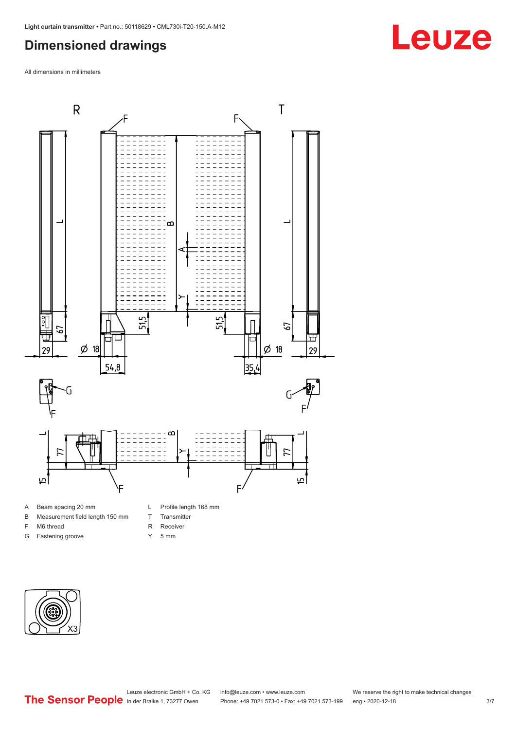### <span id="page-2-0"></span>**Dimensioned drawings**

All dimensions in millimeters



B Measurement field length 150 mm

F M6 thread G Fastening groove

- T Transmitter
- R Receiver
- 
- Y 5 mm



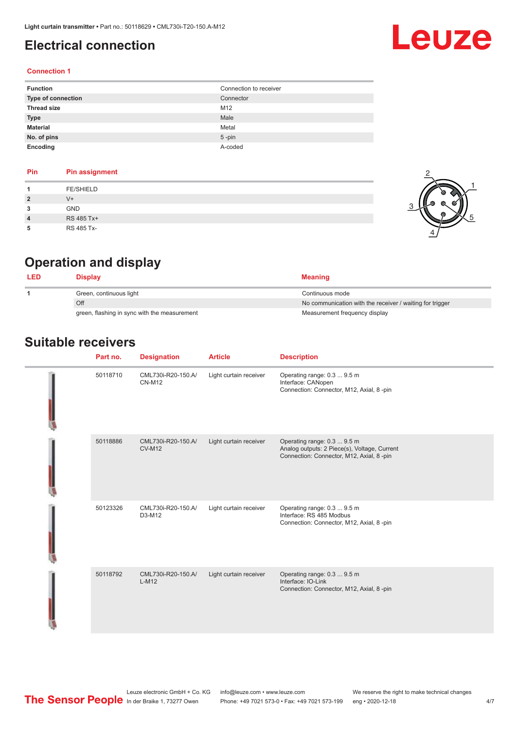### <span id="page-3-0"></span>**Electrical connection**

#### **Connection 1**

| <b>Function</b>           | Connection to receiver |
|---------------------------|------------------------|
| <b>Type of connection</b> | Connector              |
| <b>Thread size</b>        | M12                    |
| <b>Type</b>               | Male                   |
| <b>Material</b>           | Metal                  |
| No. of pins               | $5$ -pin               |
| Encoding                  | A-coded                |

| <b>PIN</b>     | Pin assignment   |
|----------------|------------------|
|                | <b>FE/SHIELD</b> |
| $\overline{2}$ | $V^+$            |
| 3              | <b>GND</b>       |
| 4              | RS 485 Tx+       |
| 5              | RS 485 Tx-       |



Leuze

# **Operation and display**

**Pin Pin assignment**

| Display                                      | <b>Meaning</b>                                           |
|----------------------------------------------|----------------------------------------------------------|
| Green, continuous light                      | Continuous mode                                          |
| Off                                          | No communication with the receiver / waiting for trigger |
| green, flashing in sync with the measurement | Measurement frequency display                            |

### **Suitable receivers**

| Part no. | <b>Designation</b>                  | <b>Article</b>         | <b>Description</b>                                                                                                      |
|----------|-------------------------------------|------------------------|-------------------------------------------------------------------------------------------------------------------------|
| 50118710 | CML730i-R20-150.A/<br><b>CN-M12</b> | Light curtain receiver | Operating range: 0.3  9.5 m<br>Interface: CANopen<br>Connection: Connector, M12, Axial, 8 -pin                          |
| 50118886 | CML730i-R20-150.A/<br><b>CV-M12</b> | Light curtain receiver | Operating range: 0.3  9.5 m<br>Analog outputs: 2 Piece(s), Voltage, Current<br>Connection: Connector, M12, Axial, 8-pin |
| 50123326 | CML730i-R20-150.A/<br>D3-M12        | Light curtain receiver | Operating range: 0.3  9.5 m<br>Interface: RS 485 Modbus<br>Connection: Connector, M12, Axial, 8 -pin                    |
| 50118792 | CML730i-R20-150.A/<br>$L-M12$       | Light curtain receiver | Operating range: 0.3  9.5 m<br>Interface: IO-Link<br>Connection: Connector, M12, Axial, 8 -pin                          |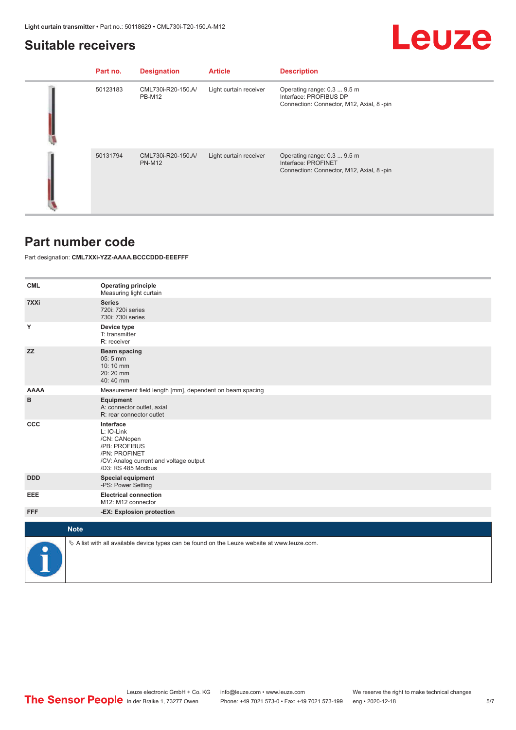# Leuze

#### <span id="page-4-0"></span>**Suitable receivers**

| Part no. | <b>Designation</b>                  | <b>Article</b>         | <b>Description</b>                                                                                 |
|----------|-------------------------------------|------------------------|----------------------------------------------------------------------------------------------------|
| 50123183 | CML730i-R20-150.A/<br><b>PB-M12</b> | Light curtain receiver | Operating range: 0.3  9.5 m<br>Interface: PROFIBUS DP<br>Connection: Connector, M12, Axial, 8 -pin |
| 50131794 | CML730i-R20-150.A/<br><b>PN-M12</b> | Light curtain receiver | Operating range: 0.3  9.5 m<br>Interface: PROFINET<br>Connection: Connector, M12, Axial, 8-pin     |

#### **Part number code**

Part designation: **CML7XXi-YZZ-AAAA.BCCCDDD-EEEFFF**

| <b>CML</b>  | <b>Operating principle</b><br>Measuring light curtain                                                                                     |
|-------------|-------------------------------------------------------------------------------------------------------------------------------------------|
| 7XXi        | <b>Series</b><br>720i: 720i series<br>730i: 730i series                                                                                   |
| Υ           | Device type<br>T: transmitter<br>R: receiver                                                                                              |
| <b>ZZ</b>   | <b>Beam spacing</b><br>$05:5$ mm<br>10:10 mm<br>20:20 mm<br>40:40 mm                                                                      |
| <b>AAAA</b> | Measurement field length [mm], dependent on beam spacing                                                                                  |
| B           | Equipment<br>A: connector outlet, axial<br>R: rear connector outlet                                                                       |
| CCC         | Interface<br>L: IO-Link<br>/CN: CANopen<br>/PB: PROFIBUS<br>/PN: PROFINET<br>/CV: Analog current and voltage output<br>/D3: RS 485 Modbus |
| <b>DDD</b>  | <b>Special equipment</b><br>-PS: Power Setting                                                                                            |
| EEE         | <b>Electrical connection</b><br>M12: M12 connector                                                                                        |
| <b>FFF</b>  | -EX: Explosion protection                                                                                                                 |
| <b>Note</b> |                                                                                                                                           |
|             |                                                                                                                                           |
|             | $\&$ A list with all available device types can be found on the Leuze website at www.leuze.com.                                           |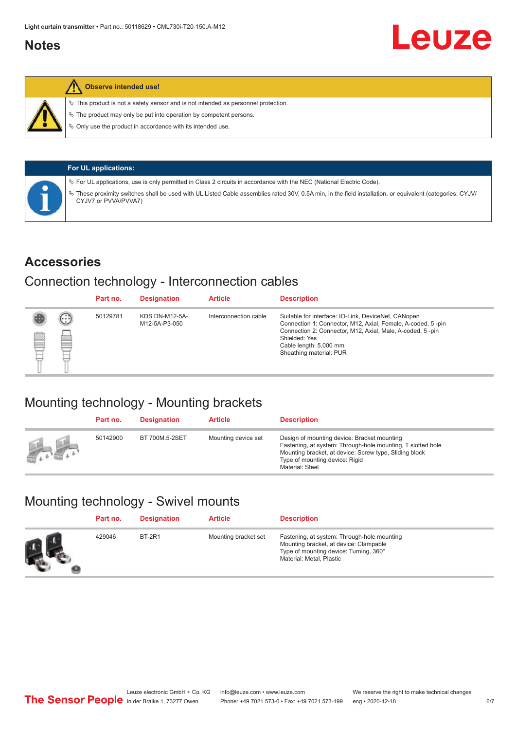#### <span id="page-5-0"></span>**Notes**

#### **Observe intended use!**

 $\%$  This product is not a safety sensor and is not intended as personnel protection.

 $\%$  The product may only be put into operation by competent persons.

 $\%$  Only use the product in accordance with its intended use.

| <b>For UL applications:</b>                                                                                                                                                       |
|-----------------------------------------------------------------------------------------------------------------------------------------------------------------------------------|
| $\%$ For UL applications, use is only permitted in Class 2 circuits in accordance with the NEC (National Electric Code).                                                          |
| V These proximity switches shall be used with UL Listed Cable assemblies rated 30V, 0.5A min, in the field installation, or equivalent (categories: CYJV/<br>CYJV7 or PVVA/PVVA7) |

#### **Accessories**

### Connection technology - Interconnection cables

|   |              | Part no. | <b>Designation</b>                     | <b>Article</b>        | <b>Description</b>                                                                                                                                                                                                                                    |
|---|--------------|----------|----------------------------------------|-----------------------|-------------------------------------------------------------------------------------------------------------------------------------------------------------------------------------------------------------------------------------------------------|
| Ø | $\odot$<br>p | 50129781 | <b>KDS DN-M12-5A-</b><br>M12-5A-P3-050 | Interconnection cable | Suitable for interface: IO-Link, DeviceNet, CANopen<br>Connection 1: Connector, M12, Axial, Female, A-coded, 5-pin<br>Connection 2: Connector, M12, Axial, Male, A-coded, 5-pin<br>Shielded: Yes<br>Cable length: 5,000 mm<br>Sheathing material: PUR |

### Mounting technology - Mounting brackets

|               | Part no. | <b>Designation</b> | <b>Article</b>      | <b>Description</b>                                                                                                                                                                                                        |
|---------------|----------|--------------------|---------------------|---------------------------------------------------------------------------------------------------------------------------------------------------------------------------------------------------------------------------|
| <b>Altres</b> | 50142900 | BT 700M.5-2SET     | Mounting device set | Design of mounting device: Bracket mounting<br>Fastening, at system: Through-hole mounting, T slotted hole<br>Mounting bracket, at device: Screw type, Sliding block<br>Type of mounting device: Rigid<br>Material: Steel |

# Mounting technology - Swivel mounts

| Part no. | <b>Designation</b> | <b>Article</b>       | <b>Description</b>                                                                                                                                          |
|----------|--------------------|----------------------|-------------------------------------------------------------------------------------------------------------------------------------------------------------|
| 429046   | <b>BT-2R1</b>      | Mounting bracket set | Fastening, at system: Through-hole mounting<br>Mounting bracket, at device: Clampable<br>Type of mounting device: Turning, 360°<br>Material: Metal, Plastic |

Leuze